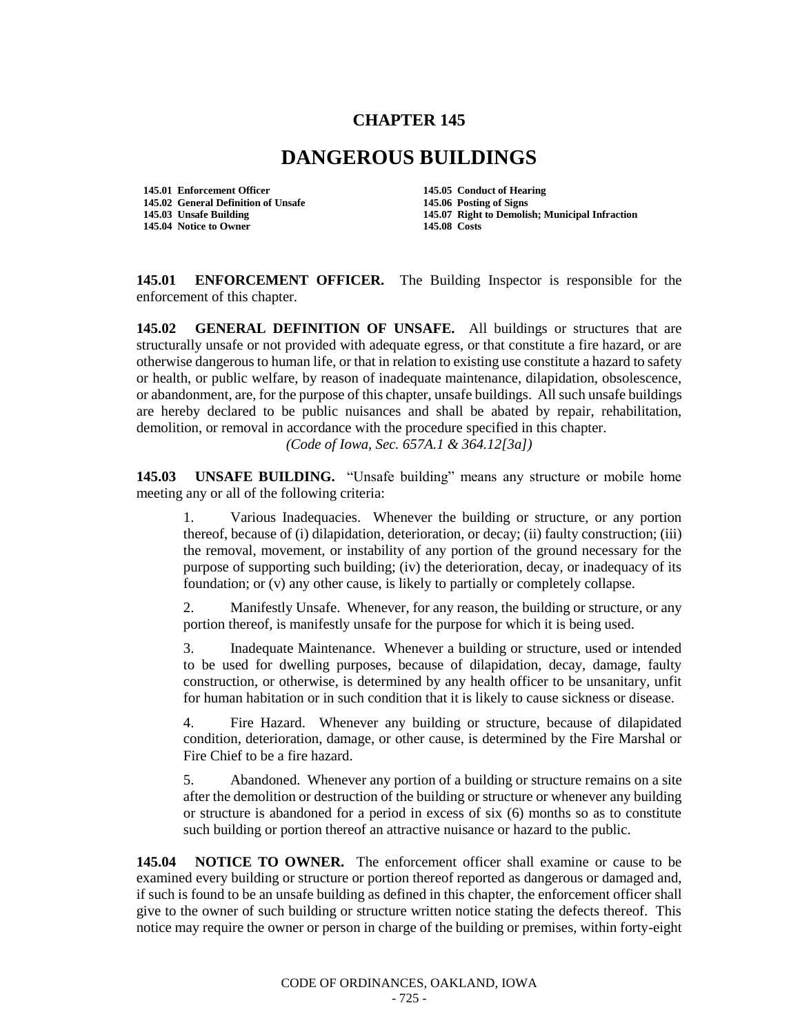## **CHAPTER 145**

## **DANGEROUS BUILDINGS**

**145.01 Enforcement Officer 145.05 Conduct of Hearing 145.02 General Definition of Unsafe 145.06 Posting of Signs 145.04 Notice to Owner 145.08 Costs**

**145.07 Right to Demolish; Municipal Infraction** 

**145.01 ENFORCEMENT OFFICER.** The Building Inspector is responsible for the enforcement of this chapter.

**145.02 GENERAL DEFINITION OF UNSAFE.** All buildings or structures that are structurally unsafe or not provided with adequate egress, or that constitute a fire hazard, or are otherwise dangerous to human life, or that in relation to existing use constitute a hazard to safety or health, or public welfare, by reason of inadequate maintenance, dilapidation, obsolescence, or abandonment, are, for the purpose of this chapter, unsafe buildings. All such unsafe buildings are hereby declared to be public nuisances and shall be abated by repair, rehabilitation, demolition, or removal in accordance with the procedure specified in this chapter. *(Code of Iowa, Sec. 657A.1 & 364.12[3a])* 

**145.03 UNSAFE BUILDING.** "Unsafe building" means any structure or mobile home meeting any or all of the following criteria:

1. Various Inadequacies. Whenever the building or structure, or any portion thereof, because of (i) dilapidation, deterioration, or decay; (ii) faulty construction; (iii) the removal, movement, or instability of any portion of the ground necessary for the purpose of supporting such building; (iv) the deterioration, decay, or inadequacy of its foundation; or (v) any other cause, is likely to partially or completely collapse.

2. Manifestly Unsafe. Whenever, for any reason, the building or structure, or any portion thereof, is manifestly unsafe for the purpose for which it is being used.

3. Inadequate Maintenance. Whenever a building or structure, used or intended to be used for dwelling purposes, because of dilapidation, decay, damage, faulty construction, or otherwise, is determined by any health officer to be unsanitary, unfit for human habitation or in such condition that it is likely to cause sickness or disease.

4. Fire Hazard. Whenever any building or structure, because of dilapidated condition, deterioration, damage, or other cause, is determined by the Fire Marshal or Fire Chief to be a fire hazard.

5. Abandoned. Whenever any portion of a building or structure remains on a site after the demolition or destruction of the building or structure or whenever any building or structure is abandoned for a period in excess of six (6) months so as to constitute such building or portion thereof an attractive nuisance or hazard to the public.

**145.04 NOTICE TO OWNER.** The enforcement officer shall examine or cause to be examined every building or structure or portion thereof reported as dangerous or damaged and, if such is found to be an unsafe building as defined in this chapter, the enforcement officer shall give to the owner of such building or structure written notice stating the defects thereof. This notice may require the owner or person in charge of the building or premises, within forty-eight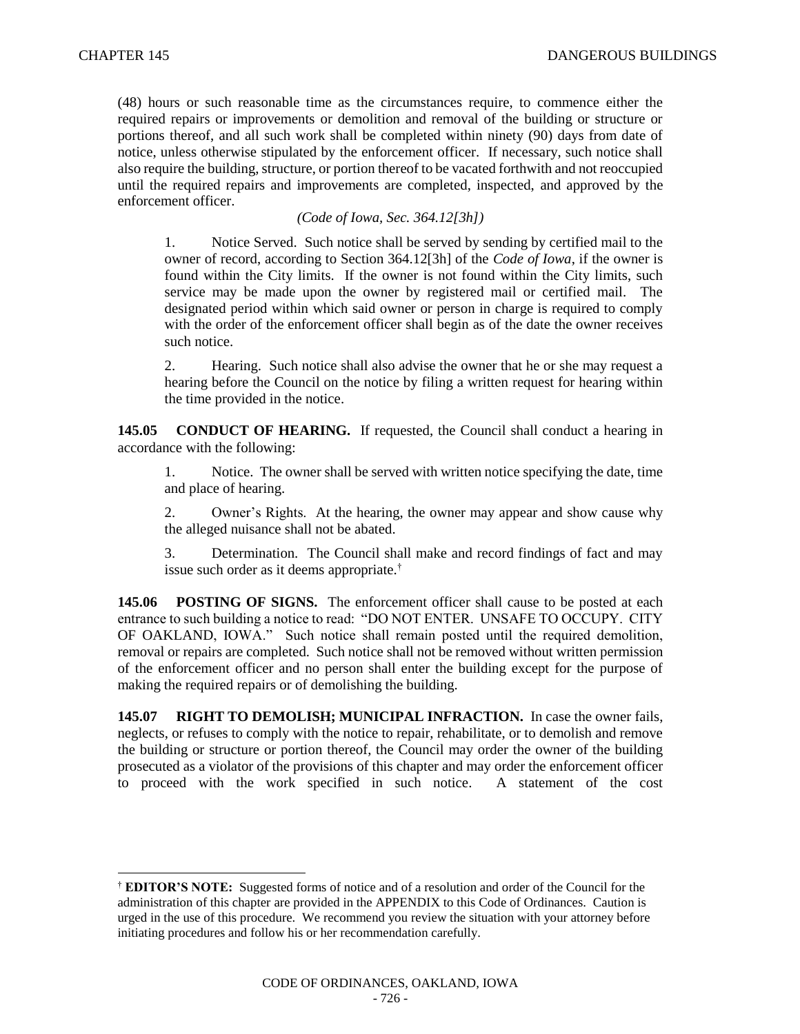$\overline{a}$ 

(48) hours or such reasonable time as the circumstances require, to commence either the required repairs or improvements or demolition and removal of the building or structure or portions thereof, and all such work shall be completed within ninety (90) days from date of notice, unless otherwise stipulated by the enforcement officer. If necessary, such notice shall also require the building, structure, or portion thereof to be vacated forthwith and not reoccupied until the required repairs and improvements are completed, inspected, and approved by the enforcement officer.

## *(Code of Iowa, Sec. 364.12[3h])*

1. Notice Served. Such notice shall be served by sending by certified mail to the owner of record, according to Section 364.12[3h] of the *Code of Iowa*, if the owner is found within the City limits. If the owner is not found within the City limits, such service may be made upon the owner by registered mail or certified mail. The designated period within which said owner or person in charge is required to comply with the order of the enforcement officer shall begin as of the date the owner receives such notice.

2. Hearing. Such notice shall also advise the owner that he or she may request a hearing before the Council on the notice by filing a written request for hearing within the time provided in the notice.

**145.05 CONDUCT OF HEARING.** If requested, the Council shall conduct a hearing in accordance with the following:

1. Notice. The owner shall be served with written notice specifying the date, time and place of hearing.

2. Owner's Rights. At the hearing, the owner may appear and show cause why the alleged nuisance shall not be abated.

3. Determination. The Council shall make and record findings of fact and may issue such order as it deems appropriate.†

**145.06 POSTING OF SIGNS.** The enforcement officer shall cause to be posted at each entrance to such building a notice to read: "DO NOT ENTER. UNSAFE TO OCCUPY. CITY OF OAKLAND, IOWA." Such notice shall remain posted until the required demolition, removal or repairs are completed. Such notice shall not be removed without written permission of the enforcement officer and no person shall enter the building except for the purpose of making the required repairs or of demolishing the building.

**145.07 RIGHT TO DEMOLISH; MUNICIPAL INFRACTION.** In case the owner fails, neglects, or refuses to comply with the notice to repair, rehabilitate, or to demolish and remove the building or structure or portion thereof, the Council may order the owner of the building prosecuted as a violator of the provisions of this chapter and may order the enforcement officer to proceed with the work specified in such notice. A statement of the cost

<sup>†</sup> **EDITOR'S NOTE:** Suggested forms of notice and of a resolution and order of the Council for the administration of this chapter are provided in the APPENDIX to this Code of Ordinances. Caution is urged in the use of this procedure. We recommend you review the situation with your attorney before initiating procedures and follow his or her recommendation carefully.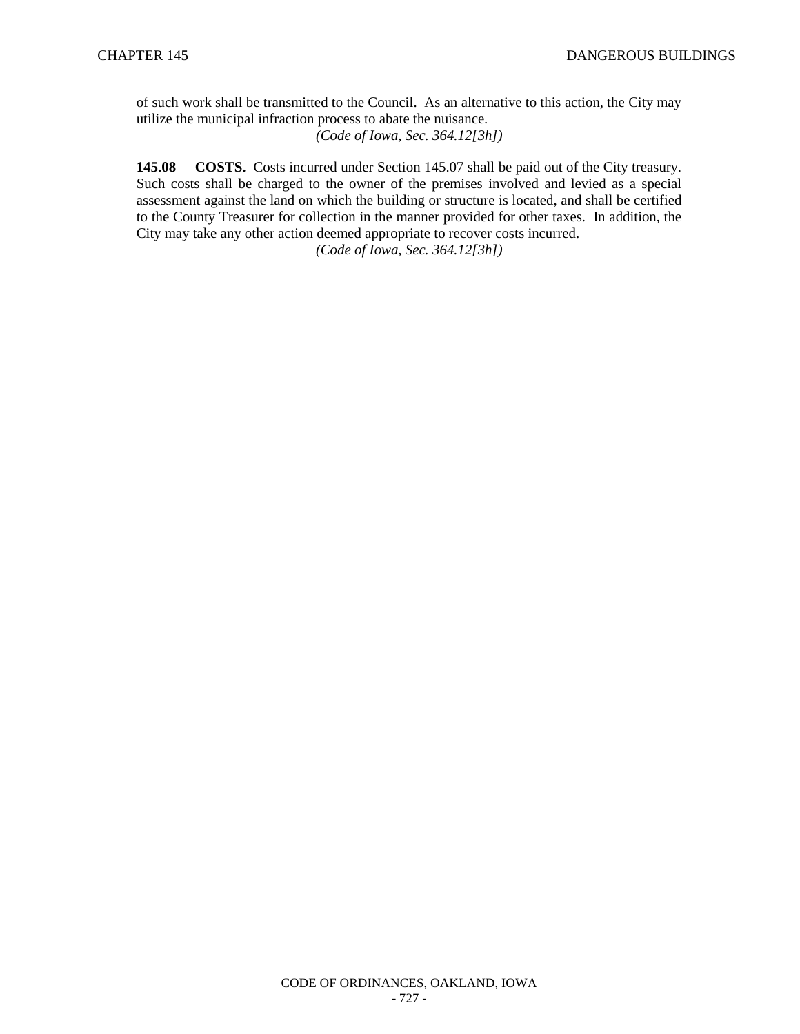of such work shall be transmitted to the Council. As an alternative to this action, the City may utilize the municipal infraction process to abate the nuisance. *(Code of Iowa, Sec. 364.12[3h])*

**145.08 COSTS.** Costs incurred under Section 145.07 shall be paid out of the City treasury. Such costs shall be charged to the owner of the premises involved and levied as a special assessment against the land on which the building or structure is located, and shall be certified to the County Treasurer for collection in the manner provided for other taxes. In addition, the City may take any other action deemed appropriate to recover costs incurred. *(Code of Iowa, Sec. 364.12[3h])*